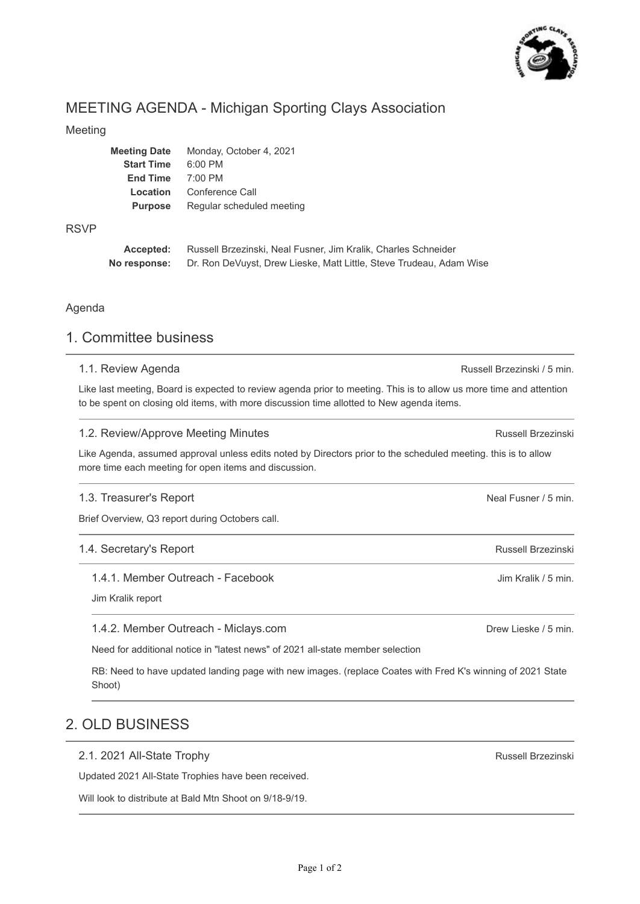

# MEETING AGENDA - Michigan Sporting Clays Association

#### Meeting

| <b>Meeting Date</b> | Monday, October 4, 2021   |
|---------------------|---------------------------|
| <b>Start Time</b>   | $6:00$ PM                 |
| <b>End Time</b>     | $7:00$ PM                 |
| Location            | Conference Call           |
| <b>Purpose</b>      | Regular scheduled meeting |
|                     |                           |

#### RSVP

**Accepted: No response:** Russell Brzezinski, Neal Fusner, Jim Kralik, Charles Schneider Dr. Ron DeVuyst, Drew Lieske, Matt Little, Steve Trudeau, Adam Wise

#### Agenda

### 1. Committee business

#### 1.1. Review Agenda

Like last meeting, Board is expected to review agenda prior to meeting. This is to allow us more time and attention to be spent on closing old items, with more discussion time allotted to New agenda items.

#### 1.2. Review/Approve Meeting Minutes

Like Agenda, assumed approval unless edits noted by Directors prior to the scheduled meeting. this is to allow more time each meeting for open items and discussion.

#### 1.3. Treasurer's Report

Brief Overview, Q3 report during Octobers call.

#### 1.4. Secretary's Report

1.4.1. Member Outreach - Facebook

Jim Kralik report

#### 1.4.2. Member Outreach - Miclays.com

Need for additional notice in "latest news" of 2021 all-state member selection

RB: Need to have updated landing page with new images. (replace Coates with Fred K's winning of 2021 State Shoot)

### 2. OLD BUSINESS

#### 2.1. 2021 All-State Trophy

Updated 2021 All-State Trophies have been received.

Will look to distribute at Bald Mtn Shoot on 9/18-9/19.

Russell Brzezinski / 5 min.

Russell Brzezinski

Neal Fusner / 5 min.

Russell Brzezinski

Jim Kralik / 5 min.

Drew Lieske / 5 min.

Russell Brzezinski